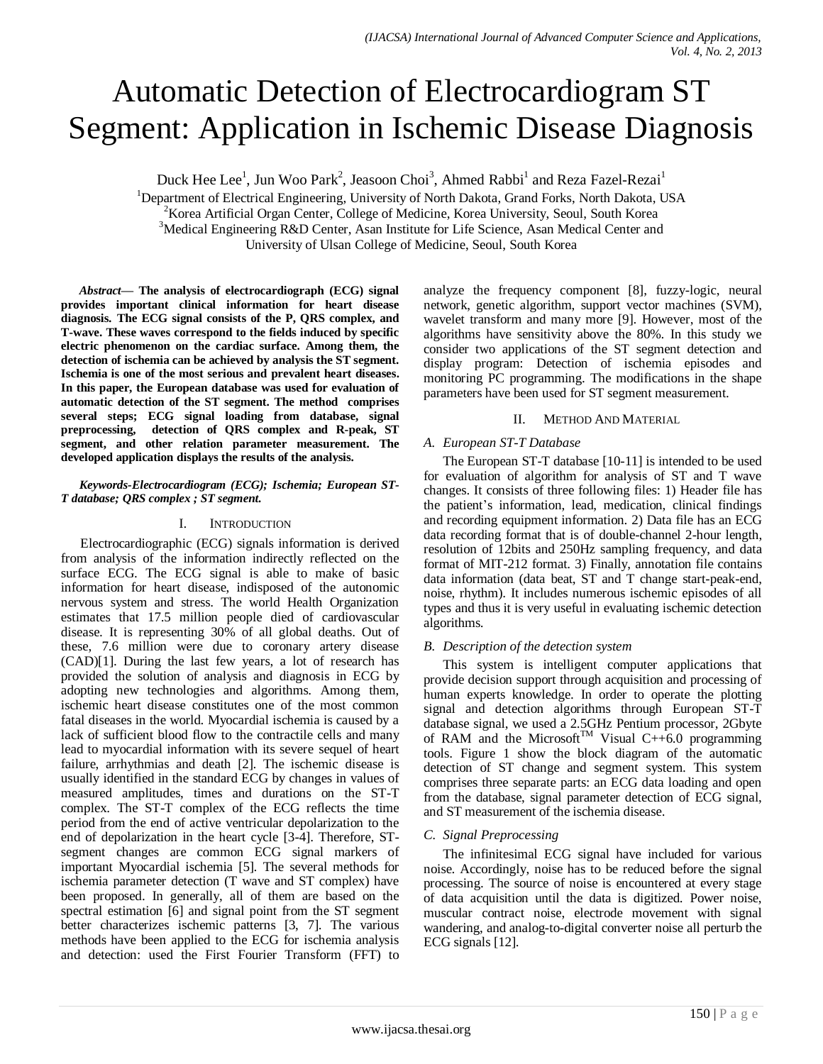# Automatic Detection of Electrocardiogram ST Segment: Application in Ischemic Disease Diagnosis

Duck Hee Lee<sup>1</sup>, Jun Woo Park<sup>2</sup>, Jeasoon Choi<sup>3</sup>, Ahmed Rabbi<sup>1</sup> and Reza Fazel-Rezai<sup>1</sup>

<sup>1</sup>Department of Electrical Engineering, University of North Dakota, Grand Forks, North Dakota, USA  $2K$ orea Artificial Organ Center, College of Medicine, Korea University, Seoul, South Korea <sup>3</sup>Medical Engineering R&D Center, Asan Institute for Life Science, Asan Medical Center and University of Ulsan College of Medicine, Seoul, South Korea

*Abstract***— The analysis of electrocardiograph (ECG) signal provides important clinical information for heart disease diagnosis. The ECG signal consists of the P, QRS complex, and T-wave. These waves correspond to the fields induced by specific electric phenomenon on the cardiac surface. Among them, the detection of ischemia can be achieved by analysis the ST segment. Ischemia is one of the most serious and prevalent heart diseases. In this paper, the European database was used for evaluation of automatic detection of the ST segment. The method comprises several steps; ECG signal loading from database, signal preprocessing, detection of QRS complex and R-peak, ST segment, and other relation parameter measurement. The developed application displays the results of the analysis.** 

#### *Keywords-Electrocardiogram (ECG); Ischemia; European ST-T database; QRS complex ; ST segment.*

## I. INTRODUCTION

Electrocardiographic (ECG) signals information is derived from analysis of the information indirectly reflected on the surface ECG. The ECG signal is able to make of basic information for heart disease, indisposed of the autonomic nervous system and stress. The world Health Organization estimates that 17.5 million people died of cardiovascular disease. It is representing 30% of all global deaths. Out of these, 7.6 million were due to coronary artery disease (CAD)[1]. During the last few years, a lot of research has provided the solution of analysis and diagnosis in ECG by adopting new technologies and algorithms. Among them, ischemic heart disease constitutes one of the most common fatal diseases in the world. Myocardial ischemia is caused by a lack of sufficient blood flow to the contractile cells and many lead to myocardial information with its severe sequel of heart failure, arrhythmias and death [2]. The ischemic disease is usually identified in the standard ECG by changes in values of measured amplitudes, times and durations on the ST-T complex. The ST-T complex of the ECG reflects the time period from the end of active ventricular depolarization to the end of depolarization in the heart cycle [3-4]. Therefore, STsegment changes are common ECG signal markers of important Myocardial ischemia [5]. The several methods for ischemia parameter detection (T wave and ST complex) have been proposed. In generally, all of them are based on the spectral estimation [6] and signal point from the ST segment better characterizes ischemic patterns [3, 7]. The various methods have been applied to the ECG for ischemia analysis and detection: used the First Fourier Transform (FFT) to

analyze the frequency component [8], fuzzy-logic, neural network, genetic algorithm, support vector machines (SVM), wavelet transform and many more [9]. However, most of the algorithms have sensitivity above the 80%. In this study we consider two applications of the ST segment detection and display program: Detection of ischemia episodes and monitoring PC programming. The modifications in the shape parameters have been used for ST segment measurement.

# II. METHOD AND MATERIAL

## *A. European ST-T Database*

The European ST-T database [10-11] is intended to be used for evaluation of algorithm for analysis of ST and T wave changes. It consists of three following files: 1) Header file has the patient's information, lead, medication, clinical findings and recording equipment information. 2) Data file has an ECG data recording format that is of double-channel 2-hour length, resolution of 12bits and 250Hz sampling frequency, and data format of MIT-212 format. 3) Finally, annotation file contains data information (data beat, ST and T change start-peak-end, noise, rhythm). It includes numerous ischemic episodes of all types and thus it is very useful in evaluating ischemic detection algorithms.

# *B. Description of the detection system*

This system is intelligent computer applications that provide decision support through acquisition and processing of human experts knowledge. In order to operate the plotting signal and detection algorithms through European ST-T database signal, we used a 2.5GHz Pentium processor, 2Gbyte of RAM and the Microsoft<sup>TM</sup> Visual C++6.0 programming tools. Figure 1 show the block diagram of the automatic detection of ST change and segment system. This system comprises three separate parts: an ECG data loading and open from the database, signal parameter detection of ECG signal, and ST measurement of the ischemia disease.

# *C. Signal Preprocessing*

The infinitesimal ECG signal have included for various noise. Accordingly, noise has to be reduced before the signal processing. The source of noise is encountered at every stage of data acquisition until the data is digitized. Power noise, muscular contract noise, electrode movement with signal wandering, and analog-to-digital converter noise all perturb the ECG signals [12].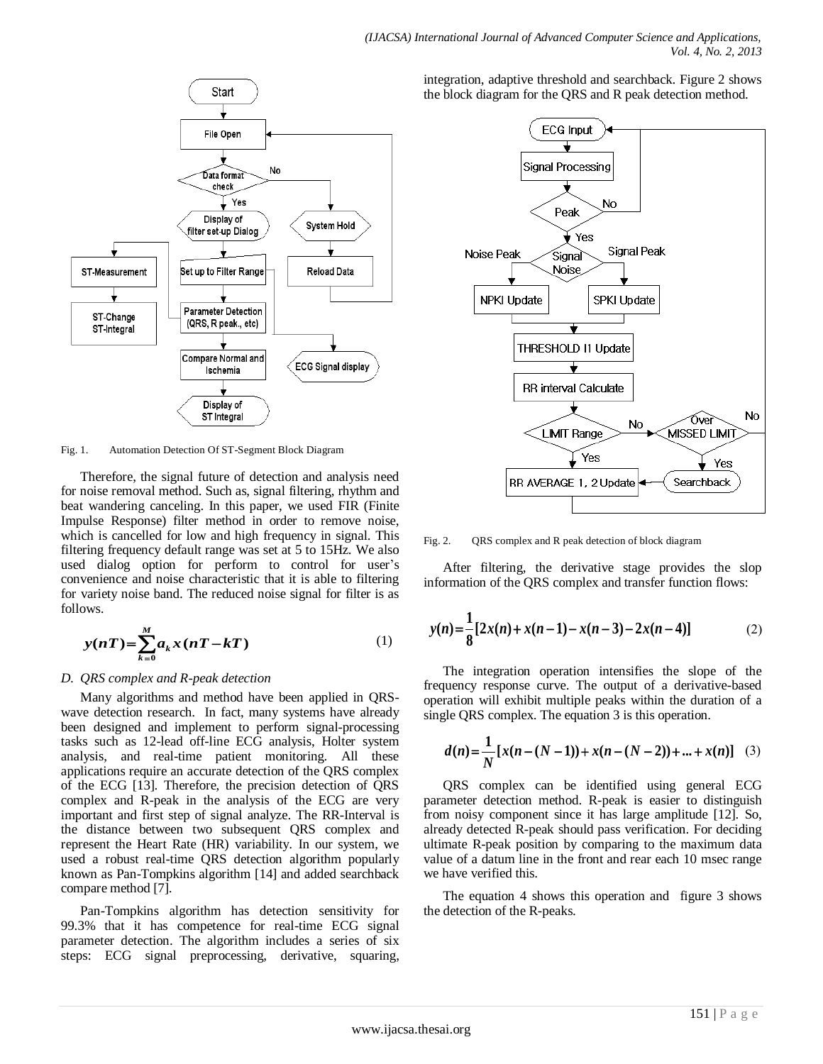

Fig. 1. Automation Detection Of ST-Segment Block Diagram

Therefore, the signal future of detection and analysis need for noise removal method. Such as, signal filtering, rhythm and beat wandering canceling. In this paper, we used FIR (Finite Impulse Response) filter method in order to remove noise, which is cancelled for low and high frequency in signal. This filtering frequency default range was set at 5 to 15Hz. We also used dialog option for perform to control for user's convenience and noise characteristic that it is able to filtering for variety noise band. The reduced noise signal for filter is as follows.

$$
y(nT) = \sum_{k=0}^{M} a_k x(nT - kT)
$$
 (1)

#### *D. QRS complex and R-peak detection*

Many algorithms and method have been applied in QRSwave detection research. In fact, many systems have already been designed and implement to perform signal-processing tasks such as 12-lead off-line ECG analysis, Holter system analysis, and real-time patient monitoring. All these applications require an accurate detection of the QRS complex of the ECG [13]. Therefore, the precision detection of QRS complex and R-peak in the analysis of the ECG are very important and first step of signal analyze. The RR-Interval is the distance between two subsequent QRS complex and represent the Heart Rate (HR) variability. In our system, we used a robust real-time QRS detection algorithm popularly known as Pan-Tompkins algorithm [14] and added searchback compare method [7].

Pan-Tompkins algorithm has detection sensitivity for 99.3% that it has competence for real-time ECG signal parameter detection. The algorithm includes a series of six steps: ECG signal preprocessing, derivative, squaring,

integration, adaptive threshold and searchback. Figure 2 shows the block diagram for the QRS and R peak detection method.



Fig. 2. QRS complex and R peak detection of block diagram

After filtering, the derivative stage provides the slop information of the QRS complex and transfer function flows:

$$
y(n) = \frac{1}{8} [2x(n) + x(n-1) - x(n-3) - 2x(n-4)]
$$
 (2)

The integration operation intensifies the slope of the frequency response curve. The output of a derivative-based operation will exhibit multiple peaks within the duration of a single QRS complex. The equation 3 is this operation.

$$
d(n) = \frac{1}{N} [x(n - (N - 1)) + x(n - (N - 2)) + ... + x(n)] \quad (3)
$$

QRS complex can be identified using general ECG parameter detection method. R-peak is easier to distinguish from noisy component since it has large amplitude [12]. So, already detected R-peak should pass verification. For deciding ultimate R-peak position by comparing to the maximum data value of a datum line in the front and rear each 10 msec range we have verified this.

The equation 4 shows this operation and figure 3 shows the detection of the R-peaks.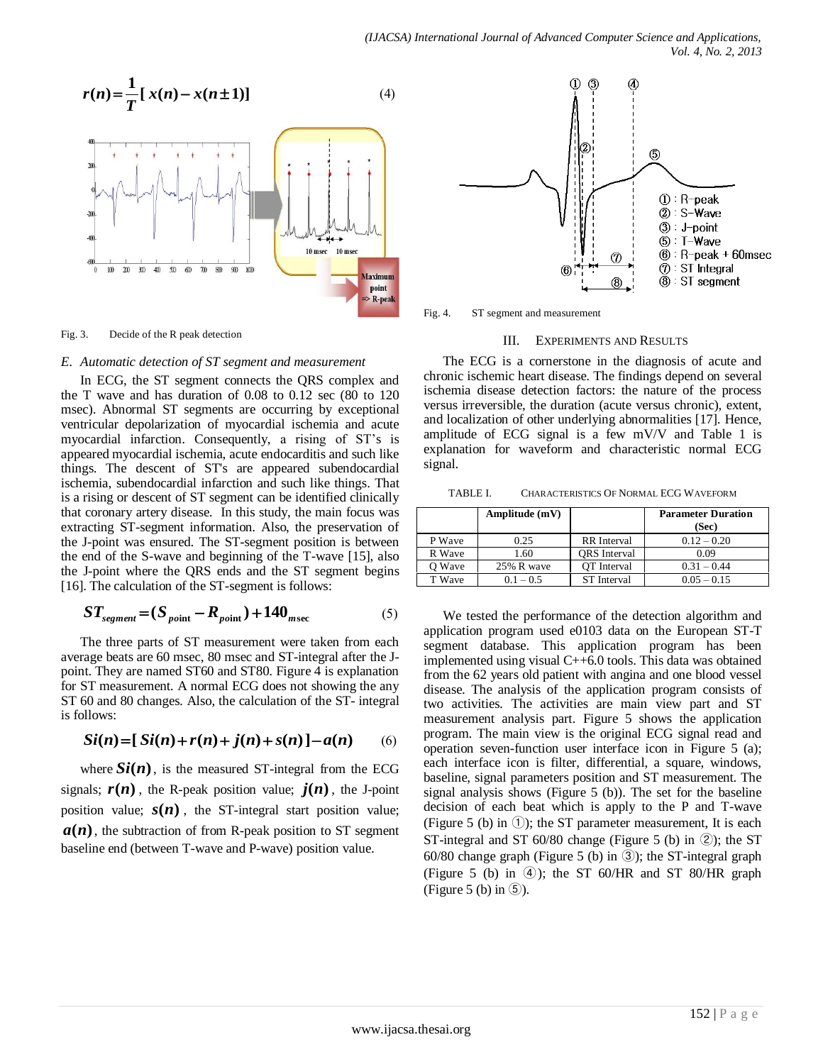

Fig. 3. Decide of the R peak detection

#### *E. Automatic detection of ST segment and measurement*

In ECG, the ST segment connects the QRS complex and the T wave and has duration of 0.08 to 0.12 sec (80 to 120 msec). Abnormal ST segments are occurring by exceptional ventricular depolarization of myocardial ischemia and acute myocardial infarction. Consequently, a rising of ST's is appeared myocardial ischemia, acute endocarditis and such like things. The descent of ST's are appeared subendocardial ischemia, subendocardial infarction and such like things. That is a rising or descent of ST segment can be identified clinically that coronary artery disease. In this study, the main focus was extracting ST-segment information. Also, the preservation of the J-point was ensured. The ST-segment position is between the end of the S-wave and beginning of the T-wave [15], also the J-point where the QRS ends and the ST segment begins [16]. The calculation of the ST-segment is follows:

$$
ST_{segment} = (S_{point} - R_{point}) + 140_{msec}
$$
 (5)

The three parts of ST measurement were taken from each average beats are 60 msec, 80 msec and ST-integral after the Jpoint. They are named ST60 and ST80. Figure 4 is explanation for ST measurement. A normal ECG does not showing the any ST 60 and 80 changes. Also, the calculation of the ST- integral is follows:

$$
Si(n) = [Si(n) + r(n) + j(n) + s(n)] - a(n)
$$
 (6)

where  $Si(n)$ , is the measured ST-integral from the ECG signals;  $r(n)$ , the R-peak position value;  $j(n)$ , the J-point position value;  $s(n)$ , the ST-integral start position value;  $a(n)$ , the subtraction of from R-peak position to ST segment baseline end (between T-wave and P-wave) position value.



Fig. 4. ST segment and measurement

#### III. EXPERIMENTS AND RESULTS

The ECG is a cornerstone in the diagnosis of acute and chronic ischemic heart disease. The findings depend on several ischemia disease detection factors: the nature of the process versus irreversible, the duration (acute versus chronic), extent, and localization of other underlying abnormalities [17]. Hence, amplitude of ECG signal is a few mV/V and Table 1 is explanation for waveform and characteristic normal ECG signal.

TABLE I. CHARACTERISTICS OF NORMAL ECG WAVEFORM

|        | Amplitude (mV) |                     | <b>Parameter Duration</b><br>(Sec) |
|--------|----------------|---------------------|------------------------------------|
| P Wave | 0.25           | <b>RR</b> Interval  | $0.12 - 0.20$                      |
| R Wave | 1.60           | <b>ORS</b> Interval | 0.09                               |
| O Wave | 25% R wave     | OT Interval         | $0.31 - 0.44$                      |
| T Wave | $0.1 - 0.5$    | <b>ST</b> Interval  | $0.05 - 0.15$                      |

We tested the performance of the detection algorithm and application program used e0103 data on the European ST-T segment database. This application program has been implemented using visual C++6.0 tools. This data was obtained from the 62 years old patient with angina and one blood vessel disease. The analysis of the application program consists of two activities. The activities are main view part and ST measurement analysis part. Figure 5 shows the application program. The main view is the original ECG signal read and operation seven-function user interface icon in Figure 5 (a); each interface icon is filter, differential, a square, windows, baseline, signal parameters position and ST measurement. The signal analysis shows (Figure 5 (b)). The set for the baseline decision of each beat which is apply to the P and T-wave (Figure 5 (b) in  $(1)$ ; the ST parameter measurement, It is each ST-integral and ST 60/80 change (Figure 5 (b) in ②); the ST 60/80 change graph (Figure 5 (b) in ③); the ST-integral graph (Figure 5 (b) in  $\Phi$ ); the ST 60/HR and ST 80/HR graph (Figure 5 (b) in ⑤).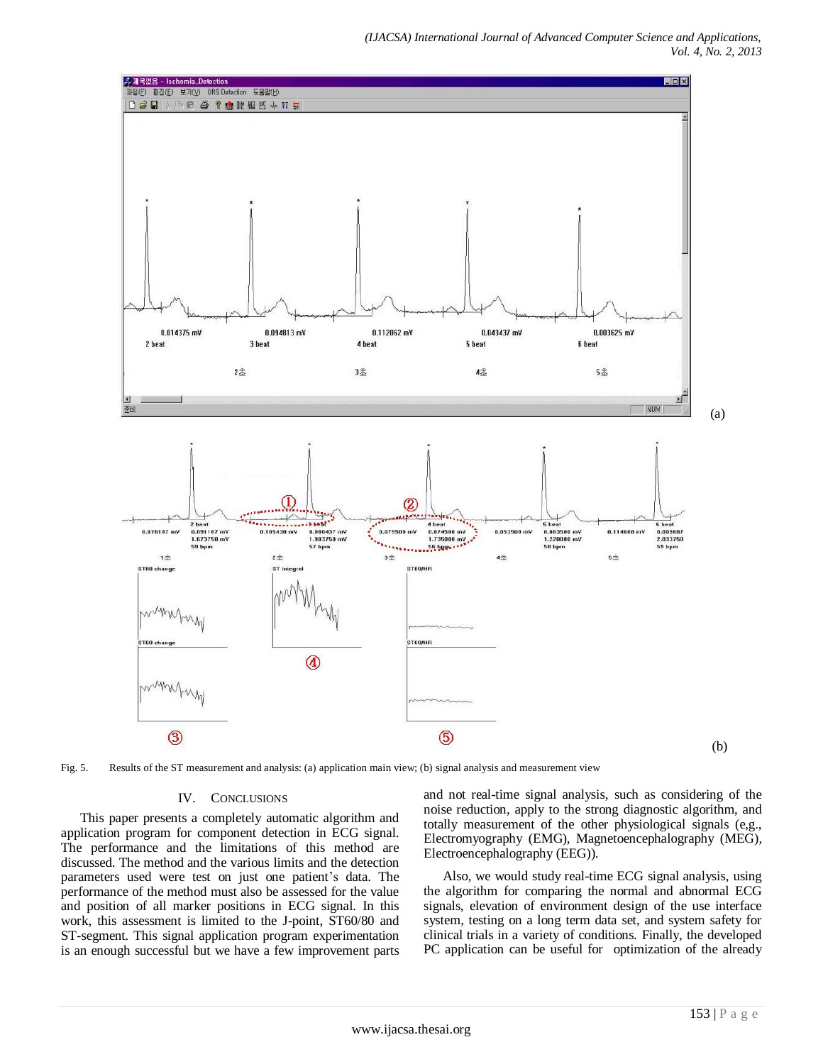

Fig. 5. Results of the ST measurement and analysis: (a) application main view; (b) signal analysis and measurement view

### IV. CONCLUSIONS

This paper presents a completely automatic algorithm and application program for component detection in ECG signal. The performance and the limitations of this method are discussed. The method and the various limits and the detection parameters used were test on just one patient's data. The performance of the method must also be assessed for the value and position of all marker positions in ECG signal. In this work, this assessment is limited to the J-point, ST60/80 and ST-segment. This signal application program experimentation is an enough successful but we have a few improvement parts and not real-time signal analysis, such as considering of the noise reduction, apply to the strong diagnostic algorithm, and totally measurement of the other physiological signals (e,g., Electromyography (EMG), Magnetoencephalography (MEG), Electroencephalography (EEG)).

Also, we would study real-time ECG signal analysis, using the algorithm for comparing the normal and abnormal ECG signals, elevation of environment design of the use interface system, testing on a long term data set, and system safety for clinical trials in a variety of conditions. Finally, the developed PC application can be useful for optimization of the already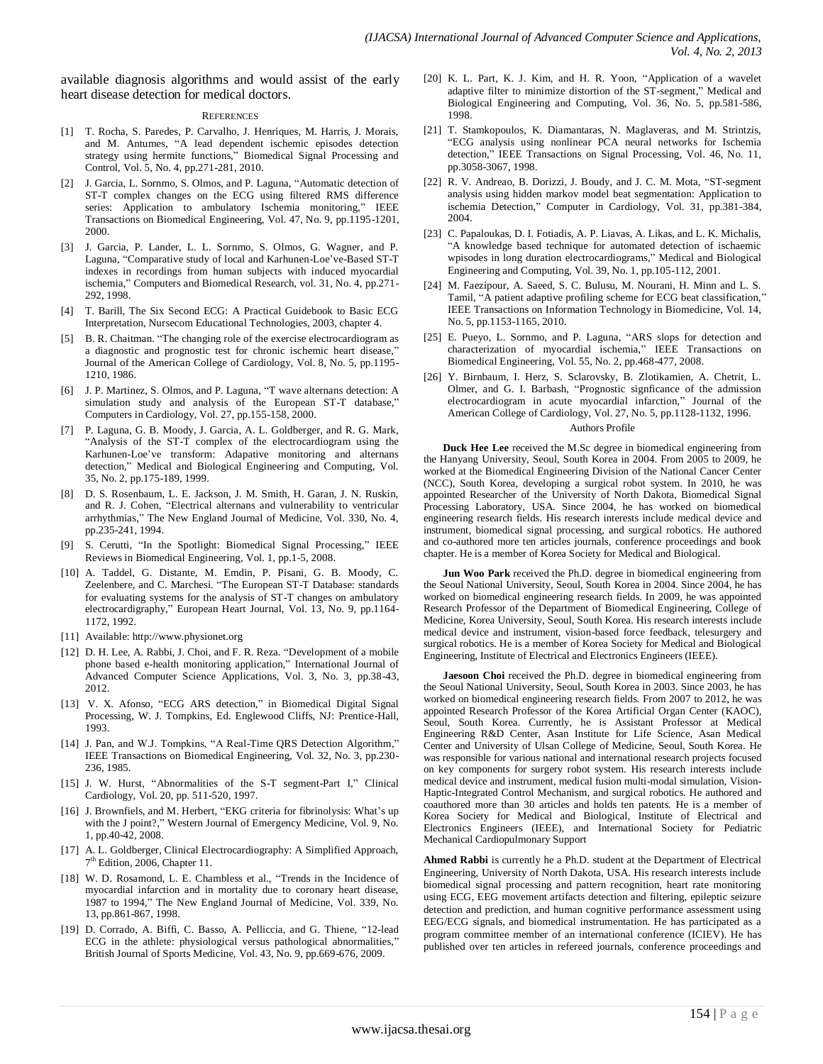available diagnosis algorithms and would assist of the early heart disease detection for medical doctors.

#### **REFERENCES**

- [1] T. Rocha, S. Paredes, P. Carvalho, J. Henriques, M. Harris, J. Morais, and M. Antumes, "A lead dependent ischemic episodes detection strategy using hermite functions," Biomedical Signal Processing and Control, Vol. 5, No. 4, pp.271-281, 2010.
- [2] J. Garcia, L. Sornmo, S. Olmos, and P. Laguna, "Automatic detection of ST-T complex changes on the ECG using filtered RMS difference series: Application to ambulatory Ischemia monitoring," IEEE Transactions on Biomedical Engineering, Vol. 47, No. 9, pp.1195-1201, 2000.
- [3] J. Garcia, P. Lander, L. L. Sornmo, S. Olmos, G. Wagner, and P. Laguna, "Comparative study of local and Karhunen-Loe've-Based ST-T indexes in recordings from human subjects with induced myocardial ischemia," Computers and Biomedical Research, vol. 31, No. 4, pp.271- 292, 1998.
- [4] T. Barill, The Six Second ECG: A Practical Guidebook to Basic ECG Interpretation, Nursecom Educational Technologies, 2003, chapter 4.
- [5] B. R. Chaitman. "The changing role of the exercise electrocardiogram as a diagnostic and prognostic test for chronic ischemic heart disease,' Journal of the American College of Cardiology, Vol. 8, No. 5, pp.1195- 1210, 1986.
- [6] J. P. Martinez, S. Olmos, and P. Laguna, "T wave alternans detection: A simulation study and analysis of the European ST-T database," Computers in Cardiology, Vol. 27, pp.155-158, 2000.
- [7] P. Laguna, G. B. Moody, J. Garcia, A. L. Goldberger, and R. G. Mark, "Analysis of the ST-T complex of the electrocardiogram using the Karhunen-Loe've transform: Adapative monitoring and alternans detection," Medical and Biological Engineering and Computing, Vol. 35, No. 2, pp.175-189, 1999.
- [8] D. S. Rosenbaum, L. E. Jackson, J. M. Smith, H. Garan, J. N. Ruskin, and R. J. Cohen, "Electrical alternans and vulnerability to ventricular arrhythmias," The New England Journal of Medicine, Vol. 330, No. 4, pp.235-241, 1994.
- S. Cerutti, "In the Spotlight: Biomedical Signal Processing," IEEE Reviews in Biomedical Engineering, Vol. 1, pp.1-5, 2008.
- [10] A. Taddel, G. Distante, M. Emdin, P. Pisani, G. B. Moody, C. Zeelenbere, and C. Marchesi. "The European ST-T Database: standards for evaluating systems for the analysis of ST-T changes on ambulatory electrocardigraphy," European Heart Journal, Vol. 13, No. 9, pp.1164- 1172, 1992.
- [11] Available: http://www.physionet.org
- [12] D. H. Lee, A. Rabbi, J. Choi, and F. R. Reza. "Development of a mobile phone based e-health monitoring application," International Journal of Advanced Computer Science Applications, Vol. 3, No. 3, pp.38-43, 2012.
- [13] [V. X. Afonso, "ECG ARS detection,"](http://en.wikipedia.org/wiki/File:SinusRhythmLabels.svg) in Biomedical Digital Signal [Processing, W. J. Tompkins, Ed. Englewood Cliffs, NJ: Prentice-Hall,](http://en.wikipedia.org/wiki/File:SinusRhythmLabels.svg)  [1993.](http://en.wikipedia.org/wiki/File:SinusRhythmLabels.svg)
- [14] J. Pan, and W.J. Tompkins, "A Real-Time QRS Detection Algorithm," IEEE Transactions on Biomedical Engineering, Vol. 32, No. 3, pp.230- 236, 1985.
- [15] J. W. Hurst, "Abnormalities of the S-T segment-Part I," Clinical Cardiology, Vol. 20, pp. 511-520, 1997.
- [16] J. Brownfiels, and M. Herbert, "EKG criteria for fibrinolysis: What's up with the J point?," Western Journal of Emergency Medicine, Vol. 9, No. 1, pp.40-42, 2008.
- [17] A. L. Goldberger, Clinical Electrocardiography: A Simplified Approach, 7<sup>th</sup> Edition, 2006, Chapter 11.
- [18] W. D. Rosamond, L. E. Chambless et al., "Trends in the Incidence of myocardial infarction and in mortality due to coronary heart disease, 1987 to 1994," The New England Journal of Medicine, Vol. 339, No. 13, pp.861-867, 1998.
- [19] D. Corrado, A. Biffi, C. Basso, A. Pelliccia, and G. Thiene, "12-lead ECG in the athlete: physiological versus pathological abnormalities,' British Journal of Sports Medicine, Vol. 43, No. 9, pp.669-676, 2009.
- [20] K. L. Part, K. J. Kim, and H. R. Yoon, "Application of a wavelet adaptive filter to minimize distortion of the ST-segment," Medical and Biological Engineering and Computing, Vol. 36, No. 5, pp.581-586, 1998.
- [21] T. Stamkopoulos, K. Diamantaras, N. Maglaveras, and M. Strintzis, "ECG analysis using nonlinear PCA neural networks for Ischemia detection," IEEE Transactions on Signal Processing, Vol. 46, No. 11, pp.3058-3067, 1998.
- [22] R. V. Andreao, B. Dorizzi, J. Boudy, and J. C. M. Mota, "ST-segment" analysis using hidden markov model beat segmentation: Application to ischemia Detection," Computer in Cardiology, Vol. 31, pp.381-384, 2004.
- [23] C. Papaloukas, D. I. Fotiadis, A. P. Liavas, A. Likas, and L. K. Michalis, "A knowledge based technique for automated detection of ischaemic wpisodes in long duration electrocardiograms," Medical and Biological Engineering and Computing, Vol. 39, No. 1, pp.105-112, 2001.
- [24] M. Faezipour, A. Saeed, S. C. Bulusu, M. Nourani, H. Minn and L. S. Tamil, "A patient adaptive profiling scheme for ECG beat classification," IEEE Transactions on Information Technology in Biomedicine, Vol. 14, No. 5, pp.1153-1165, 2010.
- [25] E. Pueyo, L. Sornmo, and P. Laguna, "ARS slops for detection and characterization of myocardial ischemia," IEEE Transactions on Biomedical Engineering, Vol. 55, No. 2, pp.468-477, 2008.
- [26] Y. Birnbaum, I. Herz, S. Sclarovsky, B. Zlotikamien, A. Chetrit, L. Olmer, and G. I. Barbash, "Prognostic signficance of the admission electrocardiogram in acute myocardial infarction," Journal of the American College of Cardiology, Vol. 27, No. 5, pp.1128-1132, 1996. Authors Profile

**Duck Hee Lee** received the M.Sc degree in biomedical engineering from the Hanyang University, Seoul, South Korea in 2004. From 2005 to 2009, he worked at the Biomedical Engineering Division of the National Cancer Center (NCC), South Korea, developing a surgical robot system. In 2010, he was appointed Researcher of the University of North Dakota, Biomedical Signal Processing Laboratory, USA. Since 2004, he has worked on biomedical engineering research fields. His research interests include medical device and instrument, biomedical signal processing, and surgical robotics. He authored and co-authored more ten articles journals, conference proceedings and book chapter. He is a member of Korea Society for Medical and Biological.

**Jun Woo Park** received the Ph.D. degree in biomedical engineering from the Seoul National University, Seoul, South Korea in 2004. Since 2004, he has worked on biomedical engineering research fields. In 2009, he was appointed Research Professor of the Department of Biomedical Engineering, College of Medicine, Korea University, Seoul, South Korea. His research interests include medical device and instrument, vision-based force feedback, telesurgery and surgical robotics. He is a member of Korea Society for Medical and Biological Engineering, Institute of Electrical and Electronics Engineers (IEEE).

**Jaesoon Choi** received the Ph.D. degree in biomedical engineering from the Seoul National University, Seoul, South Korea in 2003. Since 2003, he has worked on biomedical engineering research fields. From 2007 to 2012, he was appointed Research Professor of the Korea Artificial Organ Center (KAOC), Seoul, South Korea. Currently, he is Assistant Professor at Medical Engineering R&D Center, Asan Institute for Life Science, Asan Medical Center and University of Ulsan College of Medicine, Seoul, South Korea. He was responsible for various national and international research projects focused on key components for surgery robot system. His research interests include medical device and instrument, medical fusion multi-modal simulation, Vision-Haptic-Integrated Control Mechanism, and surgical robotics. He authored and coauthored more than 30 articles and holds ten patents. He is a member of Korea Society for Medical and Biological, Institute of Electrical and Electronics Engineers (IEEE), and International Society for Pediatric Mechanical Cardiopulmonary Support

**Ahmed Rabbi** is currently he a Ph.D. student at the Department of Electrical Engineering, University of North Dakota, USA. His research interests include biomedical signal processing and pattern recognition, heart rate monitoring using ECG, EEG movement artifacts detection and filtering, epileptic seizure detection and prediction, and human cognitive performance assessment using EEG/ECG signals, and biomedical instrumentation. He has participated as a program committee member of an international conference (ICIEV). He has published over ten articles in refereed journals, conference proceedings and